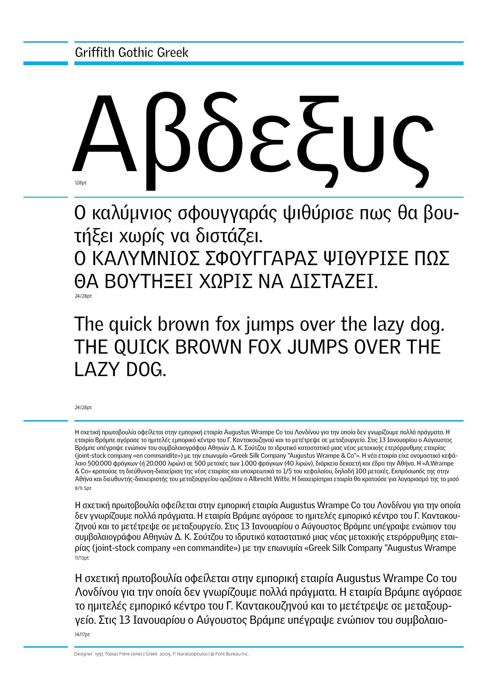# Αβδεξυς 128<sub>p</sub>

Ο καλύμνιος σφουγγαράς ψιθύρισε πως θα βουτήξει χωρίς να διστάζει.

Ο ΚΑΛΥΜΝΙΟΣ ΣΦΟΥΓΓΑΡΑΣ ΨΙΘΥΡΙΣΕ ΠΩΣ ΘΑ ΒΟΥΤΗΞΕΙ ΧΩΡΙΣ ΝΑ ΔΙΣΤΑΖΕΙ.

24/28pt

## The quick brown fox jumps over the lazy dog. THE QUICK BROWN FOX JUMPS OVER THE LAZY DOG.

24/28pt

Η σχετική πρωτοβουλία οφείλεται στην εμπορική εταιρία Augustus Wrampe Co του Λονδίνου για την οποία δεν γνωρίζουμε πολλά πράγματα. Η εταιρία Bράμπε αγόρασε το ημιτελές εμπορικό κέντρο του Γ. Καντακουζηνού και το μετέτρεψε σε μεταξουργείο. Στις 13 Ιανουαρίου ο Αύγουστος Bράμπε υπέγραψε ενώπιον του συμβολαιογράφου Αθηνών Δ. K. Σούτζου το ιδρυτικό καταστατικό μιας νέας μετοχικής ετερόρρυθμης εταιρίας (joint-stock company «en commandite») με την επωνυμία «Greek Silk Company "Augustus Wrampe & Co"». Η νέα εταιρία είχε ονομαστικό κεφάλαιο 500.000 φράγκων (ή 20.000 λιρών) σε 500 μετοχές των 1.000 φράγκων (40 λιρών), διάρκεια δεκαετή και έδρα την Αθήνα. Η «A.Wrampe & Co» κρατούσε τη διεύθυνση-διαχείριση της νέας εταιρίας και υποχρεωτικά το 1/5 του κεφαλαίου, δηλαδή 100 μετοχές. Εκπρόσωπός της στην Αθήνα και διευθυντής-διαχειριστής του μεταξουργείου οριζόταν ο Albrecht Witte. Η διαχειρίστρια εταιρία θα κρατούσε για λογαριασμό της το μισό 8/9.5pt

Η σχετική πρωτοβουλία οφείλεται στην εμπορική εταιρία Augustus Wrampe Co του Λονδίνου για την οποία δεν γνωρίζουμε πολλά πράγματα. Η εταιρία Bράμπε αγόρασε το ημιτελές εμπορικό κέντρο του Γ. Καντακουζηνού και το μετέτρεψε σε μεταξουργείο. Στις 13 Ιανουαρίου ο Αύγουστος Bράμπε υπέγραψε ενώπιον του συμβολαιογράφου Αθηνών Δ. K. Σούτζου το ιδρυτικό καταστατικό μιας νέας μετοχικής ετερόρρυθμης εταιρίας (joint-stock company «en commandite») με την επωνυμία «Greek Silk Company "Augustus Wrampe 11/13pt

Η σχετική πρωτοβουλία οφείλεται στην εμπορική εταιρία Augustus Wrampe Co του Λονδίνου για την οποία δεν γνωρίζουμε πολλά πράγματα. Η εταιρία Bράμπε αγόρασε το ημιτελές εμπορικό κέντρο του Γ. Καντακουζηνού και το μετέτρεψε σε μεταξουργείο. Στις 13 Ιανουαρίου ο Αύγουστος Bράμπε υπέγραψε ενώπιον του συμβολαιο-14/17pt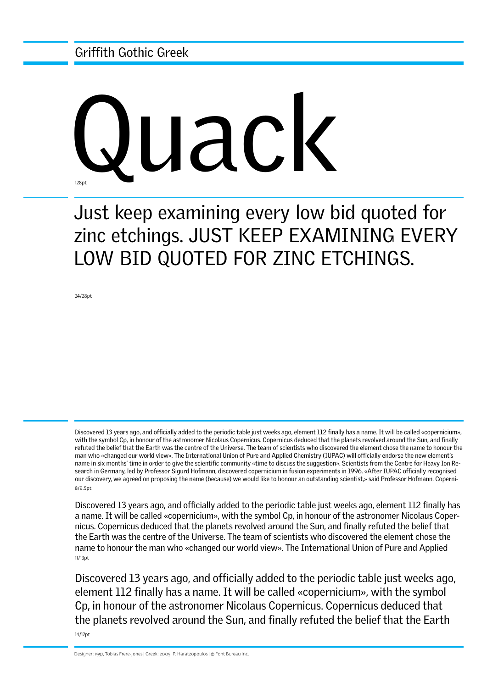Griffith Gothic Greek

# Wack

Just keep examining every low bid quoted for zinc etchings. JUST KEEP EXAMINING EVERY LOW BID QUOTED FOR ZINC ETCHINGS.

24/28pt

8/9.5pt Discovered 13 years ago, and officially added to the periodic table just weeks ago, element 112 finally has a name. It will be called «copernicium», with the symbol Cp, in honour of the astronomer Nicolaus Copernicus. Copernicus deduced that the planets revolved around the Sun, and finally refuted the belief that the Earth was the centre of the Universe. The team of scientists who discovered the element chose the name to honour the man who «changed our world view». The International Union of Pure and Applied Chemistry (IUPAC) will officially endorse the new element's name in six months' time in order to give the scientific community «time to discuss the suggestion». Scientists from the Centre for Heavy Ion Research in Germany, led by Professor Sigurd Hofmann, discovered copernicium in fusion experiments in 1996. «After IUPAC officially recognised our discovery, we agreed on proposing the name (because) we would like to honour an outstanding scientist,» said Professor Hofmann. Coperni-

11/13pt Discovered 13 years ago, and officially added to the periodic table just weeks ago, element 112 finally has a name. It will be called «copernicium», with the symbol Cp, in honour of the astronomer Nicolaus Copernicus. Copernicus deduced that the planets revolved around the Sun, and finally refuted the belief that the Earth was the centre of the Universe. The team of scientists who discovered the element chose the name to honour the man who «changed our world view». The International Union of Pure and Applied

14/17pt Discovered 13 years ago, and officially added to the periodic table just weeks ago, element 112 finally has a name. It will be called «copernicium», with the symbol Cp, in honour of the astronomer Nicolaus Copernicus. Copernicus deduced that the planets revolved around the Sun, and finally refuted the belief that the Earth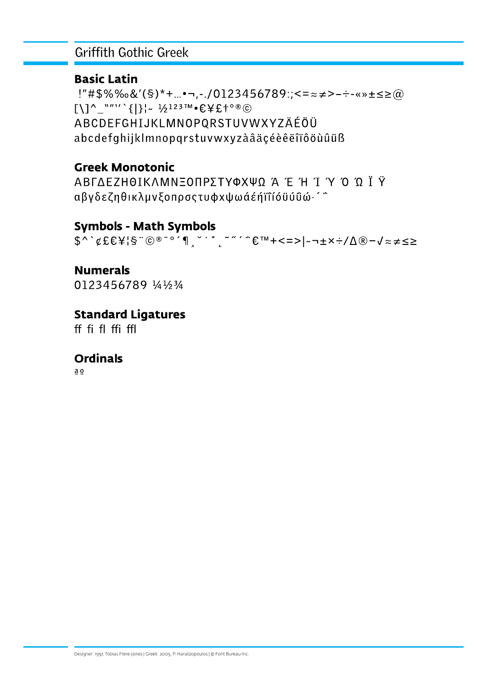#### **Griffith Gothic Greek**

#### **Basic Latin**

!"#\$%‰&'(§)\*+...•¬,-./0123456789:;<=≈≠>-÷-«»±≤≥@  $[1]$ <sup>^</sup>\_""'' {|}|~  $\frac{1}{2}$ <sup>123™</sup>  $\epsilon$  \{£+° ® © ABCDEFGHIJKLMNOPORSTUVWXYZÄÉÖÜ abcdefghijklmnopgrstuvwxyzàâäcéèêëîïôöùûüß

#### **Greek Monotonic**

ΑΒΓΔΕΖΗΘΙΚΛΜΝΞΟΠΡΣΤΥΦΧΨΩ Ά Έ Ή Ί Ύ Ό Ώ Ι Υ αβγδεζηθικλμνξοπρσςτυφχψωάέήϊΐιόϋύΰώ·<sup>'</sup>"

#### **Symbols - Math Symbols**

 $$^{\wedge}$   $\forall$  EEX | S "  $@^{\circ}$   $@^{\circ}$   $A$  ,  $@^{\circ}$   $...$   $@^{\sim}$   $@^{\sim}$   $@^{\sim}$   $@^{\sim}$   $@^{\sim}$   $@^{\sim}$   $@^{\sim}$   $@^{\sim}$   $@^{\sim}$   $@^{\sim}$   $@^{\sim}$   $@^{\sim}$   $@^{\sim}$   $@^{\sim}$   $@^{\sim}$   $@^{\sim}$   $@^{\sim}$   $@^{\sim}$   $@^{\sim}$   $@^{\sim}$   $@^$ 

### **Numerals**

0123456789 1/41/23/4

#### **Standard Ligatures**

ff fi fl ffi ffl

#### **Ordinals**

 $\underline{a} \underline{o}$